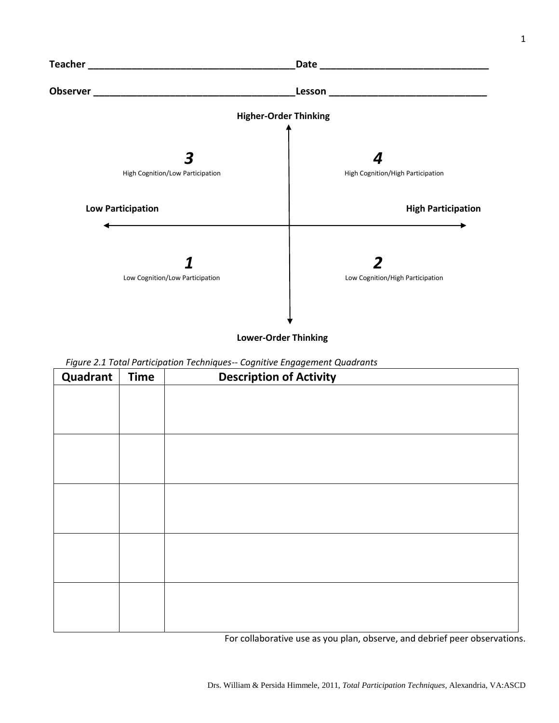

 **Lower-Order Thinking**

| <u>-</u><br><b>Quadrant</b> | <b>Time</b> | <u>____</u><br>$\sim$ $\sim$ $\sim$<br><b>Description of Activity</b> |
|-----------------------------|-------------|-----------------------------------------------------------------------|
|                             |             |                                                                       |
|                             |             |                                                                       |
|                             |             |                                                                       |
|                             |             |                                                                       |
|                             |             |                                                                       |
|                             |             |                                                                       |
|                             |             |                                                                       |
|                             |             |                                                                       |
|                             |             |                                                                       |
|                             |             |                                                                       |
|                             |             |                                                                       |
|                             |             |                                                                       |
|                             |             |                                                                       |
|                             |             |                                                                       |
|                             |             |                                                                       |

For collaborative use as you plan, observe, and debrief peer observations.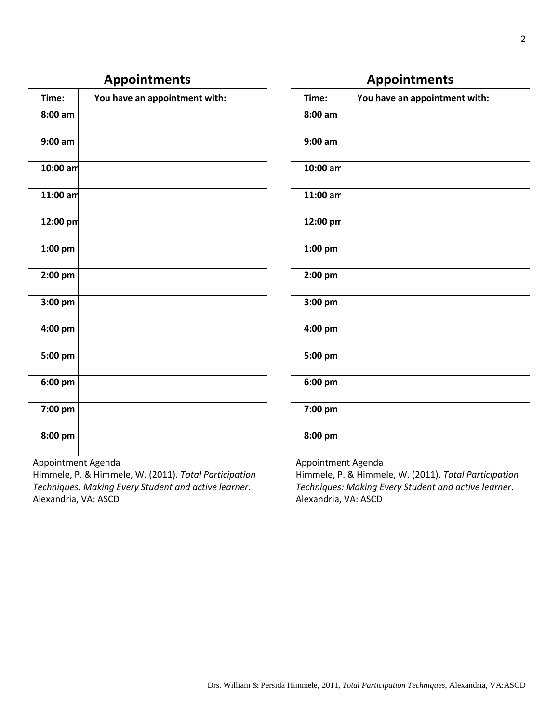| <b>Appointments</b> |                               |  |  |  |  |
|---------------------|-------------------------------|--|--|--|--|
| Time:               | You have an appointment with: |  |  |  |  |
| $8:00$ am           |                               |  |  |  |  |
| $9:00$ am           |                               |  |  |  |  |
| 10:00 am            |                               |  |  |  |  |
| $11:00$ am          |                               |  |  |  |  |
| 12:00 pm            |                               |  |  |  |  |
| 1:00 pm             |                               |  |  |  |  |
| 2:00 pm             |                               |  |  |  |  |
| 3:00 pm             |                               |  |  |  |  |
| 4:00 pm             |                               |  |  |  |  |
| 5:00 pm             |                               |  |  |  |  |
| 6:00 pm             |                               |  |  |  |  |
| 7:00 pm             |                               |  |  |  |  |
| 8:00 pm             |                               |  |  |  |  |

| <b>Appointments</b> |                               |  |  |  |  |
|---------------------|-------------------------------|--|--|--|--|
| Time:               | You have an appointment with: |  |  |  |  |
| 8:00 am             |                               |  |  |  |  |
| $9:00$ am           |                               |  |  |  |  |
| 10:00 am            |                               |  |  |  |  |
| $11:00$ am          |                               |  |  |  |  |
| 12:00 pm            |                               |  |  |  |  |
| 1:00 pm             |                               |  |  |  |  |
| 2:00 pm             |                               |  |  |  |  |
| 3:00 pm             |                               |  |  |  |  |
| 4:00 pm             |                               |  |  |  |  |
| 5:00 pm             |                               |  |  |  |  |
| 6:00 pm             |                               |  |  |  |  |
| 7:00 pm             |                               |  |  |  |  |
| 8:00 pm             |                               |  |  |  |  |

Appointment Agenda

Himmele, P. & Himmele, W. (2011). *Total Participation Techniques: Making Every Student and active learner*. Alexandria, VA: ASCD

Appointment Agenda

Himmele, P. & Himmele, W. (2011). *Total Participation Techniques: Making Every Student and active learner*. Alexandria, VA: ASCD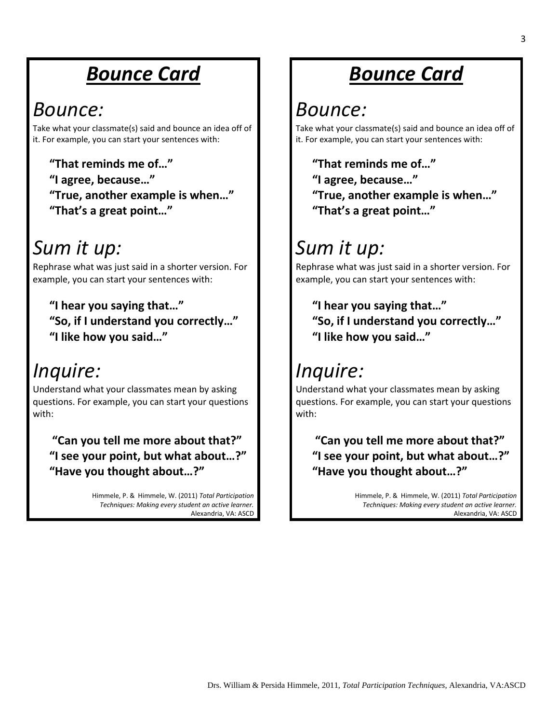## *Bounce Card*

#### *Bounce:*

Take what your classmate(s) said and bounce an idea off of it. For example, you can start your sentences with:

**"That reminds me of…" "I agree, because…" "True, another example is when…" "That's a great point…"**

## *Sum it up:*

Rephrase what was just said in a shorter version. For example, you can start your sentences with:

**"I hear you saying that…" "So, if I understand you correctly…" "I like how you said…"**

## *Inquire:*

Understand what your classmates mean by asking questions. For example, you can start your questions with:

**"Can you tell me more about that?" "I see your point, but what about…?" "Have you thought about…?"**

> Himmele, P. & Himmele, W. (2011) *Total Participation Techniques: Making every student an active learner.*  Alexandria, VA: ASCD

## *Bounce Card*

#### *Bounce:*

Take what your classmate(s) said and bounce an idea off of it. For example, you can start your sentences with:

**"That reminds me of…" "I agree, because…" "True, another example is when…" "That's a great point…"**

## *Sum it up:*

Rephrase what was just said in a shorter version. For example, you can start your sentences with:

**"I hear you saying that…" "So, if I understand you correctly…" "I like how you said…"**

# *Inquire:*

Understand what your classmates mean by asking questions. For example, you can start your questions with:

**"Can you tell me more about that?" "I see your point, but what about…?" "Have you thought about…?"**

> Himmele, P. & Himmele, W. (2011) *Total Participation Techniques: Making every student an active learner.*  Alexandria, VA: ASCD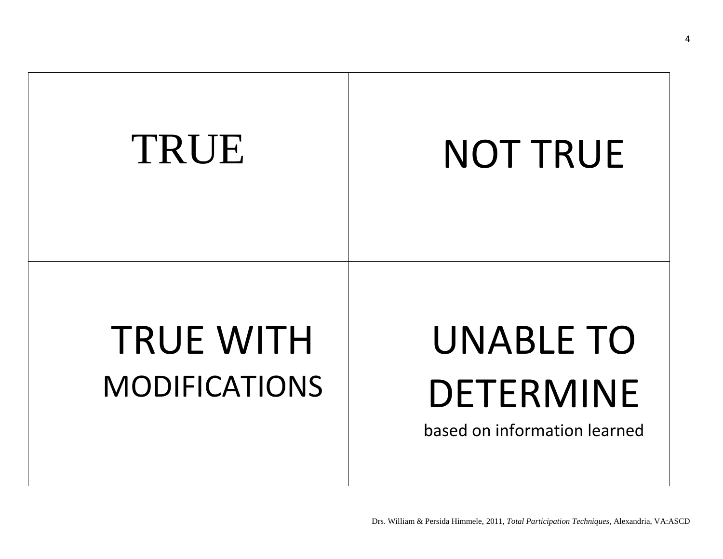

4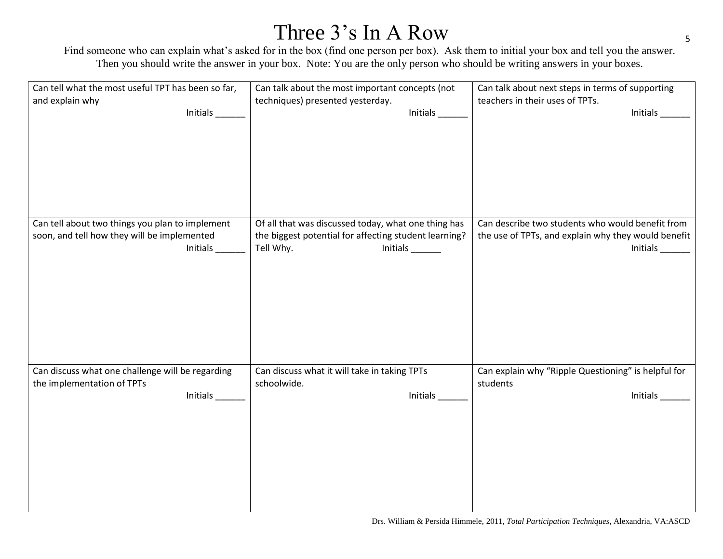### Three 3's In A Row

Find someone who can explain what's asked for in the box (find one person per box). Ask them to initial your box and tell you the answer. Then you should write the answer in your box. Note: You are the only person who should be writing answers in your boxes.

| Can tell what the most useful TPT has been so far, | Can talk about the most important concepts (not       | Can talk about next steps in terms of supporting    |
|----------------------------------------------------|-------------------------------------------------------|-----------------------------------------------------|
| and explain why                                    | techniques) presented yesterday.                      | teachers in their uses of TPTs.                     |
| Initials                                           | Initials $\frac{\ }{\ }$                              | Initials ______                                     |
|                                                    |                                                       |                                                     |
|                                                    |                                                       |                                                     |
|                                                    |                                                       |                                                     |
|                                                    |                                                       |                                                     |
|                                                    |                                                       |                                                     |
|                                                    |                                                       |                                                     |
|                                                    |                                                       |                                                     |
| Can tell about two things you plan to implement    | Of all that was discussed today, what one thing has   | Can describe two students who would benefit from    |
| soon, and tell how they will be implemented        | the biggest potential for affecting student learning? | the use of TPTs, and explain why they would benefit |
| Initials_                                          | Tell Why.                                             |                                                     |
|                                                    |                                                       |                                                     |
|                                                    |                                                       |                                                     |
|                                                    |                                                       |                                                     |
|                                                    |                                                       |                                                     |
|                                                    |                                                       |                                                     |
|                                                    |                                                       |                                                     |
|                                                    |                                                       |                                                     |
|                                                    |                                                       |                                                     |
| Can discuss what one challenge will be regarding   | Can discuss what it will take in taking TPTs          | Can explain why "Ripple Questioning" is helpful for |
| the implementation of TPTs                         | schoolwide.                                           | students                                            |
| Initials                                           | Initials                                              | Initials                                            |
|                                                    |                                                       |                                                     |
|                                                    |                                                       |                                                     |
|                                                    |                                                       |                                                     |
|                                                    |                                                       |                                                     |
|                                                    |                                                       |                                                     |
|                                                    |                                                       |                                                     |
|                                                    |                                                       |                                                     |
|                                                    |                                                       |                                                     |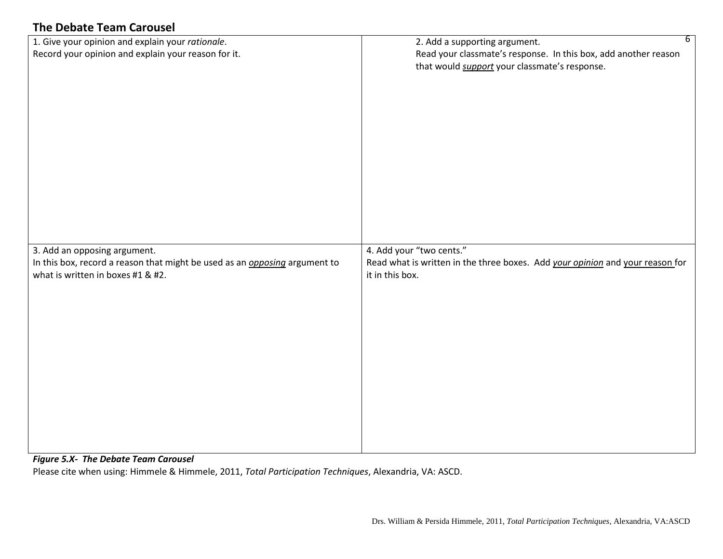#### **The Debate Team Carousel**

| 1. Give your opinion and explain your rationale.<br>Record your opinion and explain your reason for it.                                                | 2. Add a supporting argument.<br>Read your classmate's response. In this box, add another reason<br>that would support your classmate's response. | $6\overline{6}$ |
|--------------------------------------------------------------------------------------------------------------------------------------------------------|---------------------------------------------------------------------------------------------------------------------------------------------------|-----------------|
| 3. Add an opposing argument.<br>In this box, record a reason that might be used as an <i>opposing</i> argument to<br>what is written in boxes #1 & #2. | 4. Add your "two cents."<br>Read what is written in the three boxes. Add your opinion and your reason for<br>it in this box.                      |                 |

#### *Figure 5.X- The Debate Team Carousel*

Please cite when using: Himmele & Himmele, 2011, *Total Participation Techniques*, Alexandria, VA: ASCD.